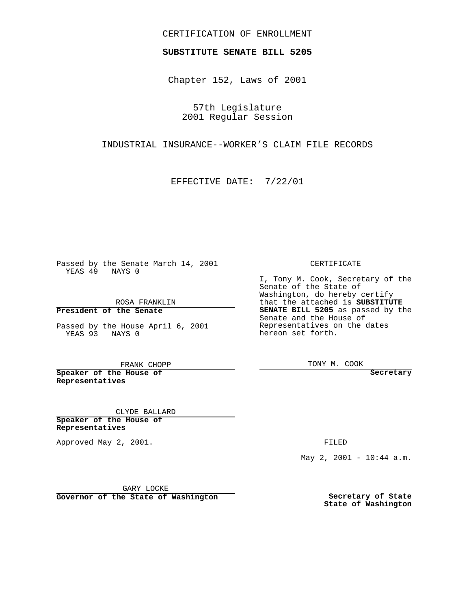## CERTIFICATION OF ENROLLMENT

## **SUBSTITUTE SENATE BILL 5205**

Chapter 152, Laws of 2001

57th Legislature 2001 Regular Session

INDUSTRIAL INSURANCE--WORKER'S CLAIM FILE RECORDS

EFFECTIVE DATE: 7/22/01

 $\overline{\phantom{a}}$ 

Passed by the Senate March 14, 2001 YEAS 49 NAYS 0

ROSA FRANKLIN

**President of the Senate**

Passed by the House April 6, 2001 YEAS 93 NAYS 0

FRANK CHOPP

**Speaker of the House of Representatives**

CLYDE BALLARD

**Speaker of the House of Representatives**

Approved May 2, 2001.

CERTIFICATE

I, Tony M. Cook, Secretary of the Senate of the State of Washington, do hereby certify that the attached is **SUBSTITUTE SENATE BILL 5205** as passed by the Senate and the House of Representatives on the dates hereon set forth.

TONY M. COOK

**Secretary**

FILED

May 2, 2001 - 10:44 a.m.

GARY LOCKE

**Governor of the State of Washington**

**Secretary of State State of Washington**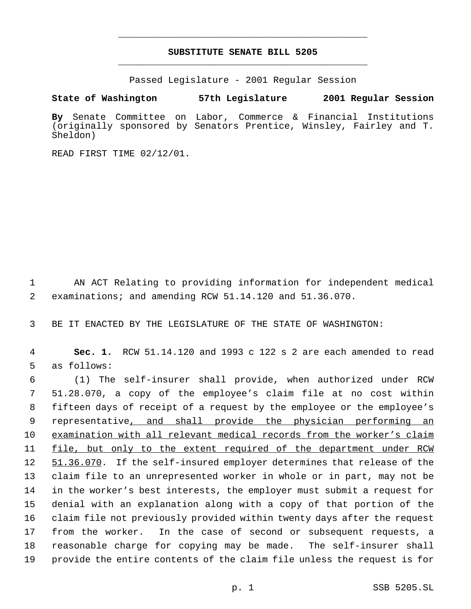## **SUBSTITUTE SENATE BILL 5205** \_\_\_\_\_\_\_\_\_\_\_\_\_\_\_\_\_\_\_\_\_\_\_\_\_\_\_\_\_\_\_\_\_\_\_\_\_\_\_\_\_\_\_\_\_

\_\_\_\_\_\_\_\_\_\_\_\_\_\_\_\_\_\_\_\_\_\_\_\_\_\_\_\_\_\_\_\_\_\_\_\_\_\_\_\_\_\_\_\_\_

Passed Legislature - 2001 Regular Session

**State of Washington 57th Legislature 2001 Regular Session**

**By** Senate Committee on Labor, Commerce & Financial Institutions (originally sponsored by Senators Prentice, Winsley, Fairley and T. Sheldon)

READ FIRST TIME 02/12/01.

1 AN ACT Relating to providing information for independent medical 2 examinations; and amending RCW 51.14.120 and 51.36.070.

3 BE IT ENACTED BY THE LEGISLATURE OF THE STATE OF WASHINGTON:

4 **Sec. 1.** RCW 51.14.120 and 1993 c 122 s 2 are each amended to read 5 as follows:

 (1) The self-insurer shall provide, when authorized under RCW 51.28.070, a copy of the employee's claim file at no cost within fifteen days of receipt of a request by the employee or the employee's 9 representative, and shall provide the physician performing an examination with all relevant medical records from the worker's claim file, but only to the extent required of the department under RCW 12 51.36.070. If the self-insured employer determines that release of the claim file to an unrepresented worker in whole or in part, may not be in the worker's best interests, the employer must submit a request for denial with an explanation along with a copy of that portion of the claim file not previously provided within twenty days after the request from the worker. In the case of second or subsequent requests, a reasonable charge for copying may be made. The self-insurer shall provide the entire contents of the claim file unless the request is for